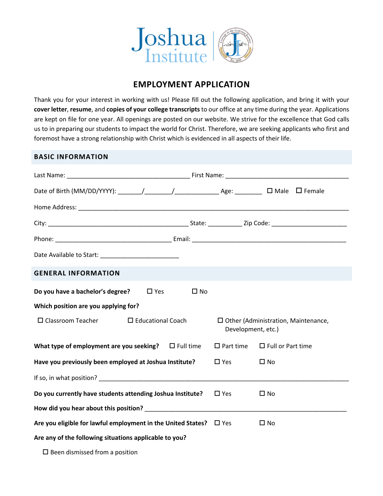

# **EMPLOYMENT APPLICATION**

Thank you for your interest in working with us! Please fill out the following application, and bring it with your **cover letter**, **resume**, and **copies of your college transcripts** to our office at any time during the year. Applications are kept on file for one year. All openings are posted on our website. We strive for the excellence that God calls us to in preparing our students to impact the world for Christ. Therefore, we are seeking applicants who first and foremost have a strong relationship with Christ which is evidenced in all aspects of their life.

# **BASIC INFORMATION**

| <b>GENERAL INFORMATION</b>                                                                                                                                                                                                     |                  |                     |                                            |
|--------------------------------------------------------------------------------------------------------------------------------------------------------------------------------------------------------------------------------|------------------|---------------------|--------------------------------------------|
| Do you have a bachelor's degree?<br>$\Box$ Yes                                                                                                                                                                                 | $\square$ No     |                     |                                            |
| Which position are you applying for?                                                                                                                                                                                           |                  |                     |                                            |
| $\Box$ Classroom Teacher<br>$\Box$ Educational Coach                                                                                                                                                                           |                  | Development, etc.)  | $\Box$ Other (Administration, Maintenance, |
| What type of employment are you seeking?                                                                                                                                                                                       | $\Box$ Full time | $\square$ Part time | $\Box$ Full or Part time                   |
| Have you previously been employed at Joshua Institute?                                                                                                                                                                         |                  | $\square$ Yes       | $\square$ No                               |
| If so, in what position? The contract of the contract of the contract of the contract of the contract of the contract of the contract of the contract of the contract of the contract of the contract of the contract of the c |                  |                     |                                            |
| Do you currently have students attending Joshua Institute?                                                                                                                                                                     |                  | $\square$ Yes       | $\square$ No                               |
| How did you hear about this position? Now did you hear about this position?                                                                                                                                                    |                  |                     |                                            |
| Are you eligible for lawful employment in the United States? $\Box$ Yes                                                                                                                                                        |                  |                     | $\square$ No                               |
| Are any of the following situations applicable to you?                                                                                                                                                                         |                  |                     |                                            |

 $\square$  Been dismissed from a position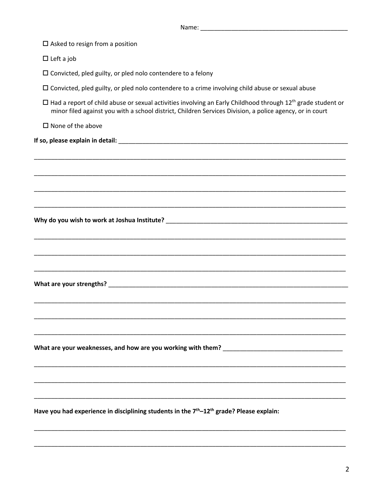| $\Box$ Asked to resign from a position                                                                                                                                                                                                     |
|--------------------------------------------------------------------------------------------------------------------------------------------------------------------------------------------------------------------------------------------|
| $\Box$ Left a job                                                                                                                                                                                                                          |
| $\square$ Convicted, pled guilty, or pled nolo contendere to a felony                                                                                                                                                                      |
| $\Box$ Convicted, pled guilty, or pled nolo contendere to a crime involving child abuse or sexual abuse                                                                                                                                    |
| $\Box$ Had a report of child abuse or sexual activities involving an Early Childhood through 12 <sup>th</sup> grade student or<br>minor filed against you with a school district, Children Services Division, a police agency, or in court |
| $\square$ None of the above                                                                                                                                                                                                                |
|                                                                                                                                                                                                                                            |
|                                                                                                                                                                                                                                            |
| ,我们也不能在这里的人,我们也不能在这里的人,我们也不能在这里的人,我们也不能在这里的人,我们也不能在这里的人,我们也不能在这里的人,我们也不能在这里的人,我们也                                                                                                                                                          |
|                                                                                                                                                                                                                                            |
|                                                                                                                                                                                                                                            |
| ,我们也不能在这里的时候,我们也不能在这里的时候,我们也不能会在这里,我们也不能会在这里的时候,我们也不能会在这里的时候,我们也不能会在这里的时候,我们也不能会                                                                                                                                                           |
|                                                                                                                                                                                                                                            |
| ,我们也不能在这里的人,我们也不能在这里的人,我们也不能在这里的人,我们也不能在这里的人,我们也不能在这里的人,我们也不能在这里的人,我们也不能在这里的人,我们                                                                                                                                                           |
|                                                                                                                                                                                                                                            |
|                                                                                                                                                                                                                                            |
|                                                                                                                                                                                                                                            |
|                                                                                                                                                                                                                                            |
|                                                                                                                                                                                                                                            |
|                                                                                                                                                                                                                                            |
|                                                                                                                                                                                                                                            |
|                                                                                                                                                                                                                                            |
|                                                                                                                                                                                                                                            |
|                                                                                                                                                                                                                                            |
|                                                                                                                                                                                                                                            |
| Have you had experience in disciplining students in the 7 <sup>th</sup> -12 <sup>th</sup> grade? Please explain:                                                                                                                           |
|                                                                                                                                                                                                                                            |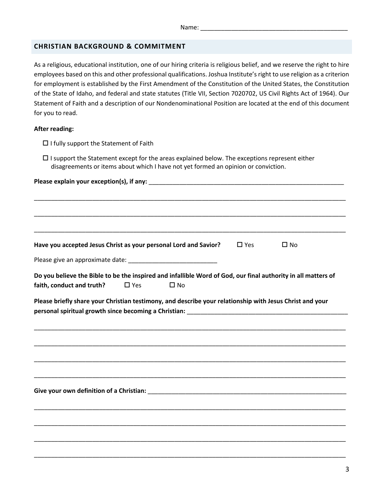## **CHRISTIAN BACKGROUND & COMMITMENT**

As a religious, educational institution, one of our hiring criteria is religious belief, and we reserve the right to hire employees based on this and other professional qualifications. Joshua Institute's right to use religion as a criterion for employment is established by the First Amendment of the Constitution of the United States, the Constitution of the State of Idaho, and federal and state statutes (Title VII, Section 7020702, US Civil Rights Act of 1964). Our Statement of Faith and a description of our Nondenominational Position are located at the end of this document for you to read.

### **After reading:**

- $\Box$  I fully support the Statement of Faith
- $\square$  I support the Statement except for the areas explained below. The exceptions represent either disagreements or items about which I have not yet formed an opinion or conviction.

| Have you accepted Jesus Christ as your personal Lord and Savior?                                                                           |               |              | $\square$ Yes | $\square$ No |
|--------------------------------------------------------------------------------------------------------------------------------------------|---------------|--------------|---------------|--------------|
|                                                                                                                                            |               |              |               |              |
| Do you believe the Bible to be the inspired and infallible Word of God, our final authority in all matters of<br>faith, conduct and truth? | $\square$ Yes | $\square$ No |               |              |
| Please briefly share your Christian testimony, and describe your relationship with Jesus Christ and your                                   |               |              |               |              |
|                                                                                                                                            |               |              |               |              |
|                                                                                                                                            |               |              |               |              |
|                                                                                                                                            |               |              |               |              |
|                                                                                                                                            |               |              |               |              |
|                                                                                                                                            |               |              |               |              |
|                                                                                                                                            |               |              |               |              |
|                                                                                                                                            |               |              |               |              |
|                                                                                                                                            |               |              |               |              |

\_\_\_\_\_\_\_\_\_\_\_\_\_\_\_\_\_\_\_\_\_\_\_\_\_\_\_\_\_\_\_\_\_\_\_\_\_\_\_\_\_\_\_\_\_\_\_\_\_\_\_\_\_\_\_\_\_\_\_\_\_\_\_\_\_\_\_\_\_\_\_\_\_\_\_\_\_\_\_\_\_\_\_\_\_\_\_\_\_\_\_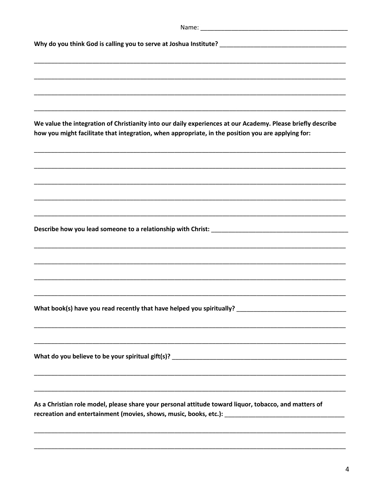| We value the integration of Christianity into our daily experiences at our Academy. Please briefly describe<br>how you might facilitate that integration, when appropriate, in the position you are applying for: |
|-------------------------------------------------------------------------------------------------------------------------------------------------------------------------------------------------------------------|
|                                                                                                                                                                                                                   |
|                                                                                                                                                                                                                   |
|                                                                                                                                                                                                                   |
|                                                                                                                                                                                                                   |
|                                                                                                                                                                                                                   |
|                                                                                                                                                                                                                   |
|                                                                                                                                                                                                                   |
|                                                                                                                                                                                                                   |
|                                                                                                                                                                                                                   |
|                                                                                                                                                                                                                   |
| ,我们也不能在这里的时候,我们也不能在这里的时候,我们也不能会在这里,我们也不能会在这里的时候,我们也不能会在这里的时候,我们也不能会在这里的时候,我们也不能会                                                                                                                                  |
|                                                                                                                                                                                                                   |
| ,我们也不能在这里的时候,我们也不能在这里的时候,我们也不能会在这里的时候,我们也不能会在这里的时候,我们也不能会在这里的时候,我们也不能会在这里的时候,我们也不                                                                                                                                 |
| As a Christian role model, please share your personal attitude toward liquor, tobacco, and matters of<br>recreation and entertainment (movies, shows, music, books, etc.): __________________________________     |
|                                                                                                                                                                                                                   |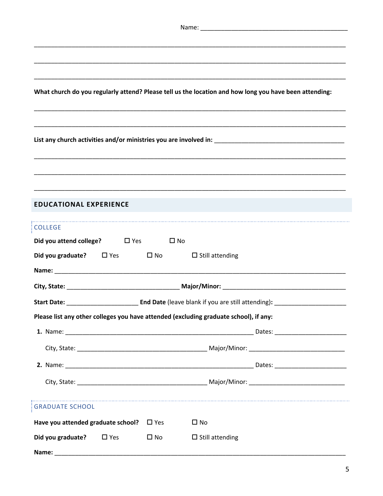|                                                                                       |                                           | What church do you regularly attend? Please tell us the location and how long you have been attending: |  |  |
|---------------------------------------------------------------------------------------|-------------------------------------------|--------------------------------------------------------------------------------------------------------|--|--|
|                                                                                       |                                           |                                                                                                        |  |  |
|                                                                                       |                                           |                                                                                                        |  |  |
| <b>EDUCATIONAL EXPERIENCE</b>                                                         |                                           |                                                                                                        |  |  |
| <b>COLLEGE</b>                                                                        |                                           |                                                                                                        |  |  |
| <b>Did you attend college?</b> □ Yes □ No                                             |                                           |                                                                                                        |  |  |
| <b>Did you graduate?</b> $\Box$ Yes $\Box$ No                                         |                                           | $\Box$ Still attending                                                                                 |  |  |
|                                                                                       |                                           |                                                                                                        |  |  |
|                                                                                       |                                           |                                                                                                        |  |  |
|                                                                                       |                                           |                                                                                                        |  |  |
| Please list any other colleges you have attended (excluding graduate school), if any: |                                           |                                                                                                        |  |  |
|                                                                                       |                                           |                                                                                                        |  |  |
|                                                                                       |                                           |                                                                                                        |  |  |
|                                                                                       |                                           |                                                                                                        |  |  |
|                                                                                       |                                           |                                                                                                        |  |  |
|                                                                                       |                                           |                                                                                                        |  |  |
| <b>GRADUATE SCHOOL</b>                                                                |                                           |                                                                                                        |  |  |
| Have you attended graduate school? $\Box$ Yes                                         |                                           | $\Box$ No                                                                                              |  |  |
| Did you graduate?<br>$\square$ Yes                                                    | $\square$ No<br>$\square$ Still attending |                                                                                                        |  |  |
| Name:                                                                                 |                                           |                                                                                                        |  |  |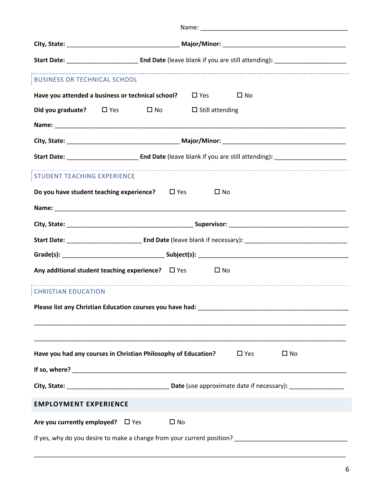| <b>BUSINESS OR TECHNICAL SCHOOL</b>    |                                                                                                                                                                                                                               |  |
|----------------------------------------|-------------------------------------------------------------------------------------------------------------------------------------------------------------------------------------------------------------------------------|--|
|                                        | Have you attended a business or technical school? $\square$ Yes $\square$ No                                                                                                                                                  |  |
|                                        | <b>Did you graduate?</b> $\Box$ Yes $\Box$ No $\Box$ Still attending                                                                                                                                                          |  |
|                                        |                                                                                                                                                                                                                               |  |
|                                        |                                                                                                                                                                                                                               |  |
|                                        |                                                                                                                                                                                                                               |  |
| STUDENT TEACHING EXPERIENCE            |                                                                                                                                                                                                                               |  |
|                                        | Do you have student teaching experience? $\Box$ Yes<br>$\square$ No                                                                                                                                                           |  |
|                                        | Name: Name: Name: Name: Name: Name: Name: Name: Name: Name: Name: Name: Name: Name: Name: Name: Name: Name: Name: Name: Name: Name: Name: Name: Name: Name: Name: Name: Name: Name: Name: Name: Name: Name: Name: Name: Name: |  |
|                                        |                                                                                                                                                                                                                               |  |
|                                        |                                                                                                                                                                                                                               |  |
|                                        |                                                                                                                                                                                                                               |  |
|                                        | Any additional student teaching experience? $\Box$ Yes<br>$\square$ No                                                                                                                                                        |  |
| <b>CHRISTIAN EDUCATION</b>             |                                                                                                                                                                                                                               |  |
|                                        |                                                                                                                                                                                                                               |  |
|                                        |                                                                                                                                                                                                                               |  |
|                                        |                                                                                                                                                                                                                               |  |
|                                        | Have you had any courses in Christian Philosophy of Education?<br>$\square$ Yes<br>$\square$ No                                                                                                                               |  |
|                                        |                                                                                                                                                                                                                               |  |
|                                        |                                                                                                                                                                                                                               |  |
| <b>EMPLOYMENT EXPERIENCE</b>           |                                                                                                                                                                                                                               |  |
| Are you currently employed? $\Box$ Yes | $\square$ No                                                                                                                                                                                                                  |  |
|                                        |                                                                                                                                                                                                                               |  |

\_\_\_\_\_\_\_\_\_\_\_\_\_\_\_\_\_\_\_\_\_\_\_\_\_\_\_\_\_\_\_\_\_\_\_\_\_\_\_\_\_\_\_\_\_\_\_\_\_\_\_\_\_\_\_\_\_\_\_\_\_\_\_\_\_\_\_\_\_\_\_\_\_\_\_\_\_\_\_\_\_\_\_\_\_\_\_\_\_\_\_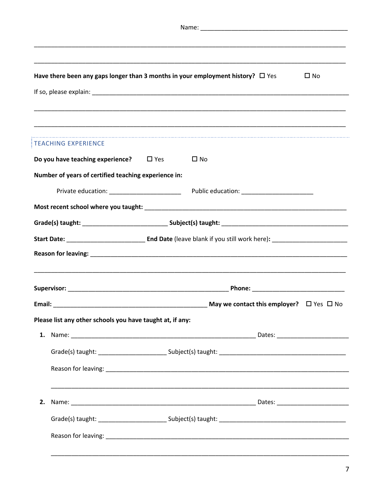|  | Have there been any gaps longer than 3 months in your employment history? $\Box$ Yes |  |              | $\square$ No |
|--|--------------------------------------------------------------------------------------|--|--------------|--------------|
|  |                                                                                      |  |              |              |
|  |                                                                                      |  |              |              |
|  |                                                                                      |  |              |              |
|  | <b>TEACHING EXPERIENCE</b>                                                           |  |              |              |
|  | Do you have teaching experience? $\Box$ Yes                                          |  | $\square$ No |              |
|  | Number of years of certified teaching experience in:                                 |  |              |              |
|  |                                                                                      |  |              |              |
|  |                                                                                      |  |              |              |
|  |                                                                                      |  |              |              |
|  |                                                                                      |  |              |              |
|  |                                                                                      |  |              |              |
|  |                                                                                      |  |              |              |
|  |                                                                                      |  |              |              |
|  |                                                                                      |  |              |              |
|  | Please list any other schools you have taught at, if any:                            |  |              |              |
|  |                                                                                      |  |              |              |
|  |                                                                                      |  |              |              |
|  |                                                                                      |  |              |              |
|  |                                                                                      |  |              |              |
|  |                                                                                      |  |              |              |
|  |                                                                                      |  |              |              |
|  |                                                                                      |  |              |              |
|  |                                                                                      |  |              |              |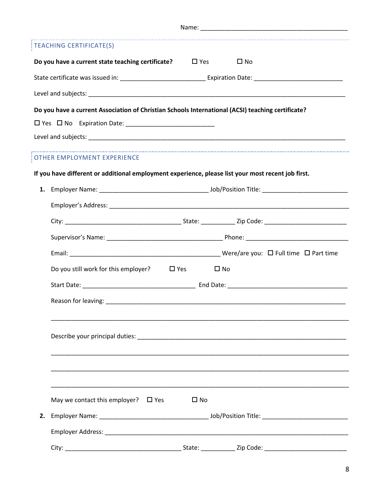| <b>TEACHING CERTIFICATE(S)</b>                                                                     |
|----------------------------------------------------------------------------------------------------|
| Do you have a current state teaching certificate?<br>$\Box$ Yes<br>$\square$ No                    |
|                                                                                                    |
|                                                                                                    |
| Do you have a current Association of Christian Schools International (ACSI) teaching certificate?  |
|                                                                                                    |
|                                                                                                    |
| OTHER EMPLOYMENT EXPERIENCE                                                                        |
| If you have different or additional employment experience, please list your most recent job first. |
|                                                                                                    |
|                                                                                                    |
|                                                                                                    |
|                                                                                                    |
|                                                                                                    |
| Do you still work for this employer? $\Box$ Yes<br>$\square$ No                                    |
|                                                                                                    |
| Reason for leaving:                                                                                |
|                                                                                                    |
|                                                                                                    |
|                                                                                                    |
|                                                                                                    |
|                                                                                                    |
| May we contact this employer? $\Box$ Yes<br>$\square$ No                                           |
|                                                                                                    |
|                                                                                                    |
|                                                                                                    |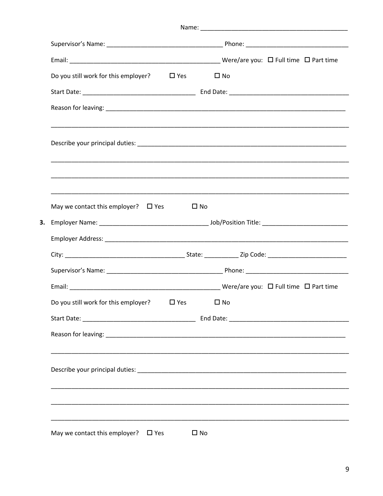| Do you still work for this employer? $\Box$ Yes |              | $\square$ No |
|-------------------------------------------------|--------------|--------------|
|                                                 |              |              |
|                                                 |              |              |
|                                                 |              |              |
|                                                 |              |              |
| May we contact this employer? $\Box$ Yes        | $\square$ No |              |
|                                                 |              |              |
|                                                 |              |              |
|                                                 |              |              |
|                                                 |              |              |
|                                                 |              |              |
| Do you still work for this employer? $\Box$ Yes |              | $\square$ No |
|                                                 |              |              |
|                                                 |              |              |
|                                                 |              |              |
|                                                 |              |              |
| May we contact this employer? $\Box$ Yes        | $\square$ No |              |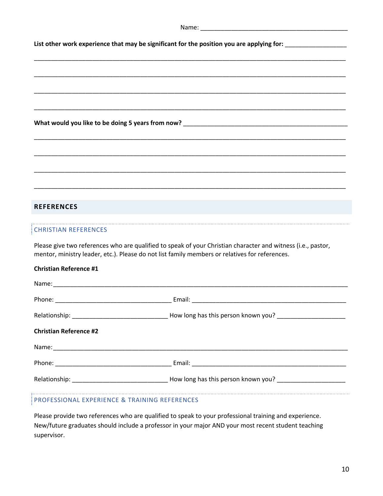|                               | List other work experience that may be significant for the position you are applying for: ___________________                                                                                                  |
|-------------------------------|----------------------------------------------------------------------------------------------------------------------------------------------------------------------------------------------------------------|
|                               |                                                                                                                                                                                                                |
|                               |                                                                                                                                                                                                                |
|                               |                                                                                                                                                                                                                |
|                               |                                                                                                                                                                                                                |
|                               |                                                                                                                                                                                                                |
|                               |                                                                                                                                                                                                                |
|                               |                                                                                                                                                                                                                |
|                               |                                                                                                                                                                                                                |
| <b>REFERENCES</b>             |                                                                                                                                                                                                                |
| <b>CHRISTIAN REFERENCES</b>   |                                                                                                                                                                                                                |
|                               | Please give two references who are qualified to speak of your Christian character and witness (i.e., pastor,<br>mentor, ministry leader, etc.). Please do not list family members or relatives for references. |
| <b>Christian Reference #1</b> |                                                                                                                                                                                                                |
|                               |                                                                                                                                                                                                                |
|                               |                                                                                                                                                                                                                |
|                               |                                                                                                                                                                                                                |
| <b>Christian Reference #2</b> |                                                                                                                                                                                                                |
|                               |                                                                                                                                                                                                                |
|                               |                                                                                                                                                                                                                |
|                               |                                                                                                                                                                                                                |
|                               |                                                                                                                                                                                                                |

# PROFESSIONAL EXPERIENCE & TRAINING REFERENCES

Please provide two references who are qualified to speak to your professional training and experience. New/future graduates should include a professor in your major AND your most recent student teaching supervisor.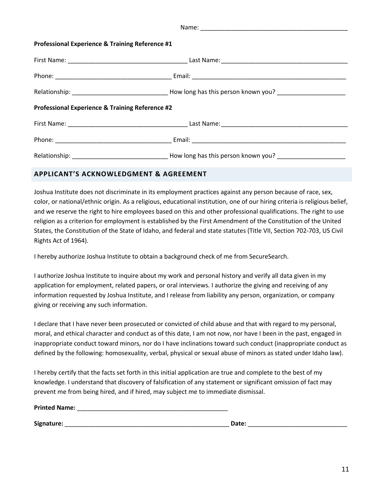| <b>Professional Experience &amp; Training Reference #1</b> |                                     |  |
|------------------------------------------------------------|-------------------------------------|--|
|                                                            |                                     |  |
|                                                            |                                     |  |
|                                                            |                                     |  |
| <b>Professional Experience &amp; Training Reference #2</b> |                                     |  |
|                                                            |                                     |  |
|                                                            |                                     |  |
|                                                            | How long has this person known you? |  |

# **APPLICANT'S ACKNOWLEDGMENT & AGREEMENT**

Joshua Institute does not discriminate in its employment practices against any person because of race, sex, color, or national/ethnic origin. As a religious, educational institution, one of our hiring criteria is religious belief, and we reserve the right to hire employees based on this and other professional qualifications. The right to use religion as a criterion for employment is established by the First Amendment of the Constitution of the United States, the Constitution of the State of Idaho, and federal and state statutes (Title VII, Section 702-703, US Civil Rights Act of 1964).

I hereby authorize Joshua Institute to obtain a background check of me from SecureSearch.

I authorize Joshua Institute to inquire about my work and personal history and verify all data given in my application for employment, related papers, or oral interviews. I authorize the giving and receiving of any information requested by Joshua Institute, and I release from liability any person, organization, or company giving or receiving any such information.

I declare that I have never been prosecuted or convicted of child abuse and that with regard to my personal, moral, and ethical character and conduct as of this date, I am not now, nor have I been in the past, engaged in inappropriate conduct toward minors, nor do I have inclinations toward such conduct (inappropriate conduct as defined by the following: homosexuality, verbal, physical or sexual abuse of minors as stated under Idaho law).

I hereby certify that the facts set forth in this initial application are true and complete to the best of my knowledge. I understand that discovery of falsification of any statement or significant omission of fact may prevent me from being hired, and if hired, may subject me to immediate dismissal.

| <b>Printed Name:</b> |  |
|----------------------|--|
|                      |  |

**Signature:** \_\_\_\_\_\_\_\_\_\_\_\_\_\_\_\_\_\_\_\_\_\_\_\_\_\_\_\_\_\_\_\_\_\_\_\_\_\_\_\_\_\_\_\_\_\_\_\_ **Date:** \_\_\_\_\_\_\_\_\_\_\_\_\_\_\_\_\_\_\_\_\_\_\_\_\_\_\_\_\_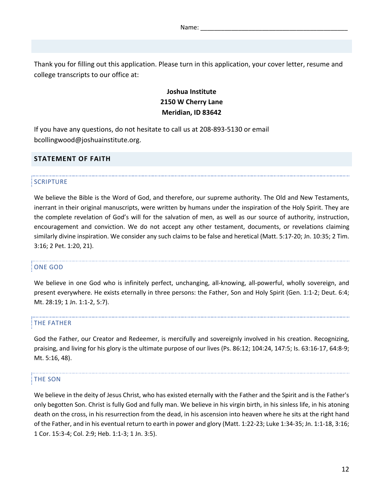Thank you for filling out this application. Please turn in this application, your cover letter, resume and college transcripts to our office at:

# **Joshua Institute 2150 W Cherry Lane Meridian, ID 83642**

If you have any questions, do not hesitate to call us at 208-893-5130 or email bcollingwood@joshuainstitute.org.

# **STATEMENT OF FAITH**

### **SCRIPTURE**

We believe the Bible is the Word of God, and therefore, our supreme authority. The Old and New Testaments, inerrant in their original manuscripts, were written by humans under the inspiration of the Holy Spirit. They are the complete revelation of God's will for the salvation of men, as well as our source of authority, instruction, encouragement and conviction. We do not accept any other testament, documents, or revelations claiming similarly divine inspiration. We consider any such claims to be false and heretical (Matt. 5:17-20; Jn. 10:35; 2 Tim. 3:16; 2 Pet. 1:20, 21).

#### ONE GOD

We believe in one God who is infinitely perfect, unchanging, all-knowing, all-powerful, wholly sovereign, and present everywhere. He exists eternally in three persons: the Father, Son and Holy Spirit (Gen. 1:1-2; Deut. 6:4; Mt. 28:19; 1 Jn. 1:1-2, 5:7).

#### THE FATHER

God the Father, our Creator and Redeemer, is mercifully and sovereignly involved in his creation. Recognizing, praising, and living for his glory is the ultimate purpose of our lives (Ps. 86:12; 104:24, 147:5; Is. 63:16-17, 64:8-9; Mt. 5:16, 48).

#### THE SON

We believe in the deity of Jesus Christ, who has existed eternally with the Father and the Spirit and is the Father's only begotten Son. Christ is fully God and fully man. We believe in his virgin birth, in his sinless life, in his atoning death on the cross, in his resurrection from the dead, in his ascension into heaven where he sits at the right hand of the Father, and in his eventual return to earth in power and glory (Matt. 1:22-23; Luke 1:34-35; Jn. 1:1-18, 3:16; 1 Cor. 15:3-4; Col. 2:9; Heb. 1:1-3; 1 Jn. 3:5).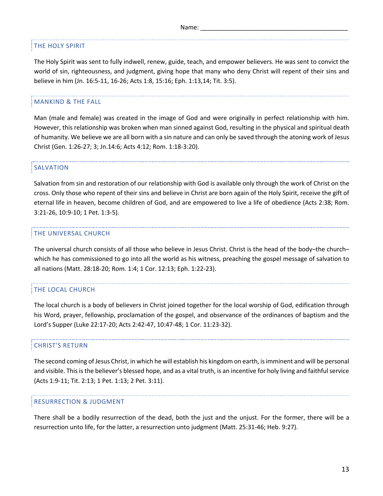#### THE HOLY SPIRIT

The Holy Spirit was sent to fully indwell, renew, guide, teach, and empower believers. He was sent to convict the world of sin, righteousness, and judgment, giving hope that many who deny Christ will repent of their sins and believe in him (Jn. 16:5-11, 16-26; Acts 1:8, 15:16; Eph. 1:13,14; Tit. 3:5).

#### MANKIND & THE FALL

Man (male and female) was created in the image of God and were originally in perfect relationship with him. However, this relationship was broken when man sinned against God, resulting in the physical and spiritual death of humanity. We believe we are all born with a sin nature and can only be saved through the atoning work of Jesus Christ (Gen. 1:26-27; 3; Jn.14:6; Acts 4:12; Rom. 1:18-3:20).

#### SALVATION

Salvation from sin and restoration of our relationship with God is available only through the work of Christ on the cross. Only those who repent of their sins and believe in Christ are born again of the Holy Spirit, receive the gift of eternal life in heaven, become children of God, and are empowered to live a life of obedience (Acts 2:38; Rom. 3:21-26, 10:9-10; 1 Pet. 1:3-5).

### THE UNIVERSAL CHURCH

The universal church consists of all those who believe in Jesus Christ. Christ is the head of the body–the church– which he has commissioned to go into all the world as his witness, preaching the gospel message of salvation to all nations (Matt. 28:18-20; Rom. 1:4; 1 Cor. 12:13; Eph. 1:22-23).

## THE LOCAL CHURCH

The local church is a body of believers in Christ joined together for the local worship of God, edification through his Word, prayer, fellowship, proclamation of the gospel, and observance of the ordinances of baptism and the Lord's Supper (Luke 22:17-20; Acts 2:42-47, 10:47-48; 1 Cor. 11:23-32).

#### CHRIST'S RETURN

The second coming of Jesus Christ, in which he will establish his kingdom on earth, is imminent and will be personal and visible. This is the believer's blessed hope, and as a vital truth, is an incentive for holy living and faithful service (Acts 1:9-11; Tit. 2:13; 1 Pet. 1:13; 2 Pet. 3:11).

#### RESURRECTION & JUDGMENT

There shall be a bodily resurrection of the dead, both the just and the unjust. For the former, there will be a resurrection unto life, for the latter, a resurrection unto judgment (Matt. 25:31-46; Heb. 9:27).